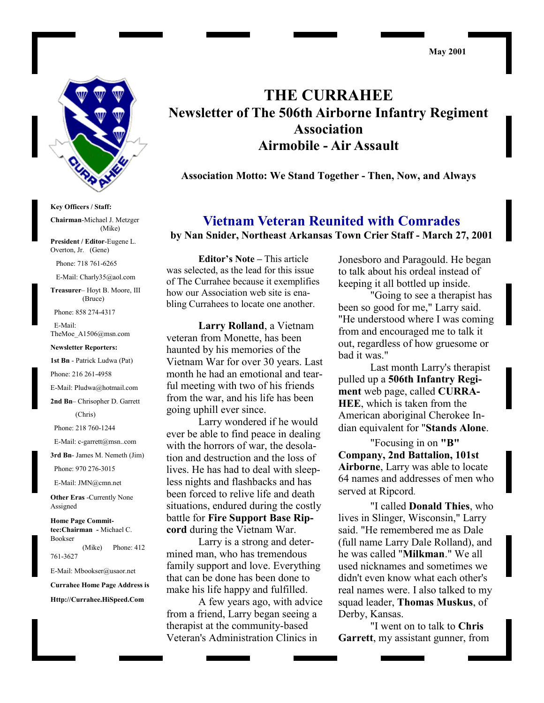#### **May 2001**



**Key Officers / Staff:**

**Chairman**-Michael J. Metzger (Mike)

**President / Editor**-Eugene L. Overton, Jr. (Gene)

Phone: 718 761-6265

E-Mail: Charly35@aol.com

**Treasurer**– Hoyt B. Moore, III (Bruce)

Phone: 858 274-4317

 E-Mail: TheMoe\_A1506@msn.com

#### **Newsletter Reporters:**

**1st Bn** - Patrick Ludwa (Pat)

Phone: 216 261-4958

E-Mail: Pludwa@hotmail.com

**2nd Bn**– Chrisopher D. Garrett

(Chris)

Phone: 218 760-1244

E-Mail: c-garrett@msn..com

**3rd Bn**- James M. Nemeth (Jim)

Phone: 970 276-3015

E-Mail: JMN@cmn.net

**Other Eras** -Currently None Assigned

**Home Page Committee:Chairman -** Michael C. Bookser (Mike) Phone: 412

761-3627

E-Mail: Mbookser@usaor.net

**Currahee Home Page Address is**

**Http://Currahee.HiSpeed.Com**

**THE CURRAHEE Newsletter of The 506th Airborne Infantry Regiment Association Airmobile - Air Assault**

**Association Motto: We Stand Together - Then, Now, and Always**

**Vietnam Veteran Reunited with Comrades by Nan Snider, Northeast Arkansas Town Crier Staff - March 27, 2001**

**Editor's Note –** This article was selected, as the lead for this issue of The Currahee because it exemplifies how our Association web site is enabling Currahees to locate one another.

**Larry Rolland**, a Vietnam veteran from Monette, has been haunted by his memories of the Vietnam War for over 30 years. Last month he had an emotional and tearful meeting with two of his friends from the war, and his life has been going uphill ever since.

Larry wondered if he would ever be able to find peace in dealing with the horrors of war, the desolation and destruction and the loss of lives. He has had to deal with sleepless nights and flashbacks and has been forced to relive life and death situations, endured during the costly battle for **Fire Support Base Ripcord** during the Vietnam War.

Larry is a strong and determined man, who has tremendous family support and love. Everything that can be done has been done to make his life happy and fulfilled.

A few years ago, with advice from a friend, Larry began seeing a therapist at the community-based Veteran's Administration Clinics in

Jonesboro and Paragould. He began to talk about his ordeal instead of keeping it all bottled up inside.

"Going to see a therapist has been so good for me," Larry said. "He understood where I was coming from and encouraged me to talk it out, regardless of how gruesome or bad it was."

Last month Larry's therapist pulled up a **506th Infantry Regiment** web page, called **CURRA-HEE**, which is taken from the American aboriginal Cherokee Indian equivalent for "**Stands Alone**.

"Focusing in on **"B" Company, 2nd Battalion, 101st Airborne**, Larry was able to locate 64 names and addresses of men who served at Ripcord.

"I called **Donald Thies**, who lives in Slinger, Wisconsin," Larry said. "He remembered me as Dale (full name Larry Dale Rolland), and he was called "**Milkman**." We all used nicknames and sometimes we didn't even know what each other's real names were. I also talked to my squad leader, **Thomas Muskus**, of Derby, Kansas.

"I went on to talk to **Chris Garrett**, my assistant gunner, from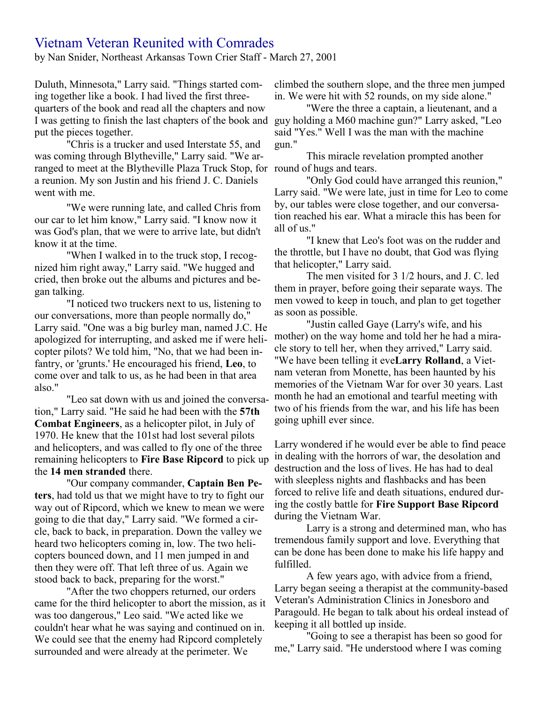# Vietnam Veteran Reunited with Comrades

by Nan Snider, Northeast Arkansas Town Crier Staff - March 27, 2001

Duluth, Minnesota," Larry said. "Things started coming together like a book. I had lived the first threequarters of the book and read all the chapters and now I was getting to finish the last chapters of the book and guy holding a M60 machine gun?" Larry asked, "Leo put the pieces together.

"Chris is a trucker and used Interstate 55, and was coming through Blytheville," Larry said. "We arranged to meet at the Blytheville Plaza Truck Stop, for round of hugs and tears. a reunion. My son Justin and his friend J. C. Daniels went with me.

"We were running late, and called Chris from our car to let him know," Larry said. "I know now it was God's plan, that we were to arrive late, but didn't know it at the time.

"When I walked in to the truck stop, I recognized him right away," Larry said. "We hugged and cried, then broke out the albums and pictures and began talking.

"I noticed two truckers next to us, listening to our conversations, more than people normally do," Larry said. "One was a big burley man, named J.C. He apologized for interrupting, and asked me if were helicopter pilots? We told him, "No, that we had been infantry, or 'grunts.' He encouraged his friend, **Leo**, to come over and talk to us, as he had been in that area also."

"Leo sat down with us and joined the conversation," Larry said. "He said he had been with the **57th Combat Engineers**, as a helicopter pilot, in July of 1970. He knew that the 101st had lost several pilots and helicopters, and was called to fly one of the three remaining helicopters to **Fire Base Ripcord** to pick up the **14 men stranded** there.

"Our company commander, **Captain Ben Peters**, had told us that we might have to try to fight our way out of Ripcord, which we knew to mean we were going to die that day," Larry said. "We formed a circle, back to back, in preparation. Down the valley we heard two helicopters coming in, low. The two helicopters bounced down, and 11 men jumped in and then they were off. That left three of us. Again we stood back to back, preparing for the worst."

"After the two choppers returned, our orders came for the third helicopter to abort the mission, as it was too dangerous," Leo said. "We acted like we couldn't hear what he was saying and continued on in. We could see that the enemy had Ripcord completely surrounded and were already at the perimeter. We

climbed the southern slope, and the three men jumped in. We were hit with 52 rounds, on my side alone."

"Were the three a captain, a lieutenant, and a said "Yes." Well I was the man with the machine gun."

This miracle revelation prompted another

"Only God could have arranged this reunion," Larry said. "We were late, just in time for Leo to come by, our tables were close together, and our conversation reached his ear. What a miracle this has been for all of us."

"I knew that Leo's foot was on the rudder and the throttle, but I have no doubt, that God was flying that helicopter," Larry said.

The men visited for 3 1/2 hours, and J. C. led them in prayer, before going their separate ways. The men vowed to keep in touch, and plan to get together as soon as possible.

"Justin called Gaye (Larry's wife, and his mother) on the way home and told her he had a miracle story to tell her, when they arrived," Larry said. "We have been telling it eve**Larry Rolland**, a Vietnam veteran from Monette, has been haunted by his memories of the Vietnam War for over 30 years. Last month he had an emotional and tearful meeting with two of his friends from the war, and his life has been going uphill ever since.

Larry wondered if he would ever be able to find peace in dealing with the horrors of war, the desolation and destruction and the loss of lives. He has had to deal with sleepless nights and flashbacks and has been forced to relive life and death situations, endured during the costly battle for **Fire Support Base Ripcord** during the Vietnam War.

Larry is a strong and determined man, who has tremendous family support and love. Everything that can be done has been done to make his life happy and fulfilled.

A few years ago, with advice from a friend, Larry began seeing a therapist at the community-based Veteran's Administration Clinics in Jonesboro and Paragould. He began to talk about his ordeal instead of keeping it all bottled up inside.

"Going to see a therapist has been so good for me," Larry said. "He understood where I was coming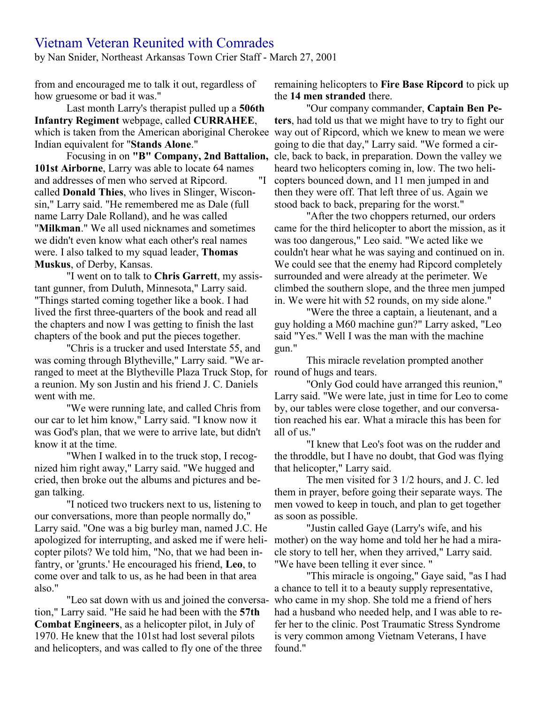# Vietnam Veteran Reunited with Comrades

by Nan Snider, Northeast Arkansas Town Crier Staff - March 27, 2001

from and encouraged me to talk it out, regardless of how gruesome or bad it was."

Last month Larry's therapist pulled up a **506th Infantry Regiment** webpage, called **CURRAHEE**, which is taken from the American aboriginal Cherokee way out of Ripcord, which we knew to mean we were Indian equivalent for "**Stands Alone**."

**101st Airborne**, Larry was able to locate 64 names and addresses of men who served at Ripcord. "I called **Donald Thies**, who lives in Slinger, Wisconsin," Larry said. "He remembered me as Dale (full name Larry Dale Rolland), and he was called "**Milkman**." We all used nicknames and sometimes we didn't even know what each other's real names were. I also talked to my squad leader, **Thomas Muskus**, of Derby, Kansas.

"I went on to talk to **Chris Garrett**, my assistant gunner, from Duluth, Minnesota," Larry said. "Things started coming together like a book. I had lived the first three-quarters of the book and read all the chapters and now I was getting to finish the last chapters of the book and put the pieces together.

"Chris is a trucker and used Interstate 55, and was coming through Blytheville," Larry said. "We arranged to meet at the Blytheville Plaza Truck Stop, for round of hugs and tears. a reunion. My son Justin and his friend J. C. Daniels went with me.

"We were running late, and called Chris from our car to let him know," Larry said. "I know now it was God's plan, that we were to arrive late, but didn't know it at the time.

"When I walked in to the truck stop, I recognized him right away," Larry said. "We hugged and cried, then broke out the albums and pictures and began talking.

"I noticed two truckers next to us, listening to our conversations, more than people normally do," Larry said. "One was a big burley man, named J.C. He apologized for interrupting, and asked me if were helicopter pilots? We told him, "No, that we had been infantry, or 'grunts.' He encouraged his friend, **Leo**, to come over and talk to us, as he had been in that area also."

"Leo sat down with us and joined the conversation," Larry said. "He said he had been with the **57th Combat Engineers**, as a helicopter pilot, in July of 1970. He knew that the 101st had lost several pilots and helicopters, and was called to fly one of the three

remaining helicopters to **Fire Base Ripcord** to pick up the **14 men stranded** there.

Focusing in on "B" Company, 2nd Battalion, cle, back to back, in preparation. Down the valley we "Our company commander, **Captain Ben Peters**, had told us that we might have to try to fight our going to die that day," Larry said. "We formed a cirheard two helicopters coming in, low. The two helicopters bounced down, and 11 men jumped in and then they were off. That left three of us. Again we stood back to back, preparing for the worst."

"After the two choppers returned, our orders came for the third helicopter to abort the mission, as it was too dangerous," Leo said. "We acted like we couldn't hear what he was saying and continued on in. We could see that the enemy had Ripcord completely surrounded and were already at the perimeter. We climbed the southern slope, and the three men jumped in. We were hit with 52 rounds, on my side alone."

"Were the three a captain, a lieutenant, and a guy holding a M60 machine gun?" Larry asked, "Leo said "Yes." Well I was the man with the machine gun."

This miracle revelation prompted another

"Only God could have arranged this reunion," Larry said. "We were late, just in time for Leo to come by, our tables were close together, and our conversation reached his ear. What a miracle this has been for all of us."

"I knew that Leo's foot was on the rudder and the throddle, but I have no doubt, that God was flying that helicopter," Larry said.

The men visited for 3 1/2 hours, and J. C. led them in prayer, before going their separate ways. The men vowed to keep in touch, and plan to get together as soon as possible.

"Justin called Gaye (Larry's wife, and his mother) on the way home and told her he had a miracle story to tell her, when they arrived," Larry said. "We have been telling it ever since. "

"This miracle is ongoing," Gaye said, "as I had a chance to tell it to a beauty supply representative, who came in my shop. She told me a friend of hers had a husband who needed help, and I was able to refer her to the clinic. Post Traumatic Stress Syndrome is very common among Vietnam Veterans, I have found."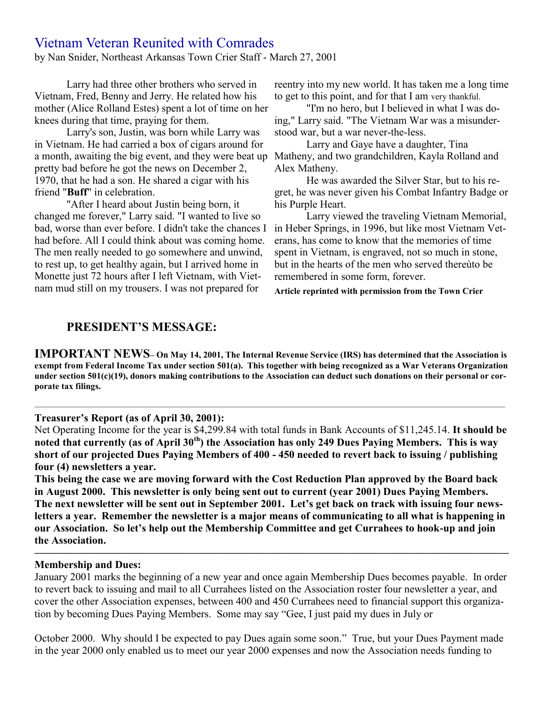# Vietnam Veteran Reunited with Comrades

by Nan Snider, Northeast Arkansas Town Crier Staff - March 27, 2001

Larry had three other brothers who served in Vietnam, Fred, Benny and Jerry. He related how his mother (Alice Rolland Estes) spent a lot of time on her knees during that time, praying for them.

Larry's son, Justin, was born while Larry was in Vietnam. He had carried a box of cigars around for a month, awaiting the big event, and they were beat up pretty bad before he got the news on December 2, 1970, that he had a son. He shared a cigar with his friend "**Buff**" in celebration.

"After I heard about Justin being born, it changed me forever," Larry said. "I wanted to live so bad, worse than ever before. I didn't take the chances I had before. All I could think about was coming home. The men really needed to go somewhere and unwind, to rest up, to get healthy again, but I arrived home in Monette just 72 hours after I left Vietnam, with Vietnam mud still on my trousers. I was not prepared for

reentry into my new world. It has taken me a long time to get to this point, and for that I am very thankful.

"I'm no hero, but I believed in what I was doing," Larry said. "The Vietnam War was a misunderstood war, but a war never-the-less.

Larry and Gaye have a daughter, Tina Matheny, and two grandchildren, Kayla Rolland and Alex Matheny.

He was awarded the Silver Star, but to his regret, he was never given his Combat Infantry Badge or his Purple Heart.

Larry viewed the traveling Vietnam Memorial, in Heber Springs, in 1996, but like most Vietnam Veterans, has come to know that the memories of time spent in Vietnam, is engraved, not so much in stone, but in the hearts of the men who served thereùto be remembered in some form, forever.

**Article reprinted with permission from the Town Crier**

# **PRESIDENT'S MESSAGE:**

**IMPORTANT NEWS– On May 14, 2001, The Internal Revenue Service (IRS) has determined that the Association is exempt from Federal Income Tax under section 501(a). This together with being recognized as a War Veterans Organization under section 501(c)(19), donors making contributions to the Association can deduct such donations on their personal or corporate tax filings.**

—————————————————————————————————————————————————————

#### **Treasurer's Report (as of April 30, 2001):**

Net Operating Income for the year is \$4,299.84 with total funds in Bank Accounts of \$11,245.14. **It should be noted that currently (as of April 30th) the Association has only 249 Dues Paying Members. This is way short of our projected Dues Paying Members of 400 - 450 needed to revert back to issuing / publishing four (4) newsletters a year.**

**This being the case we are moving forward with the Cost Reduction Plan approved by the Board back in August 2000. This newsletter is only being sent out to current (year 2001) Dues Paying Members. The next newsletter will be sent out in September 2001. Let's get back on track with issuing four newsletters a year. Remember the newsletter is a major means of communicating to all what is happening in our Association. So let's help out the Membership Committee and get Currahees to hook-up and join the Association.**

#### **Membership and Dues:**

January 2001 marks the beginning of a new year and once again Membership Dues becomes payable. In order to revert back to issuing and mail to all Currahees listed on the Association roster four newsletter a year, and cover the other Association expenses, between 400 and 450 Currahees need to financial support this organization by becoming Dues Paying Members. Some may say "Gee, I just paid my dues in July or

**————————————————————————————————————————————–**

October 2000. Why should I be expected to pay Dues again some soon." True, but your Dues Payment made in the year 2000 only enabled us to meet our year 2000 expenses and now the Association needs funding to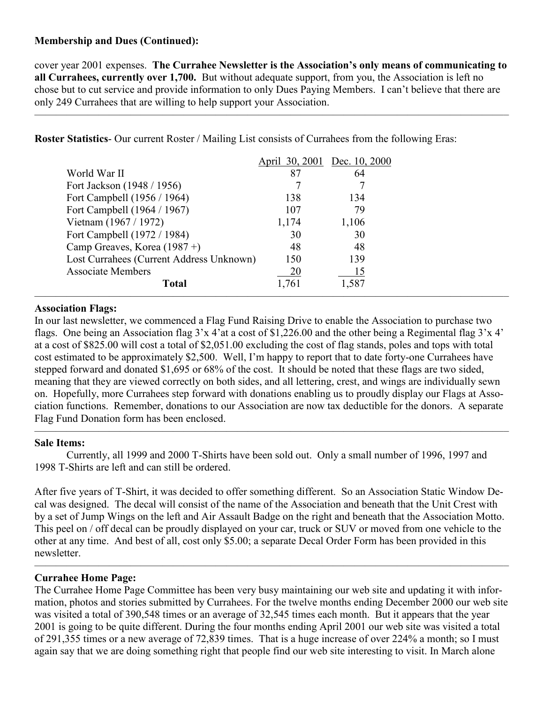# **Membership and Dues (Continued):**

cover year 2001 expenses. **The Currahee Newsletter is the Association's only means of communicating to all Currahees, currently over 1,700.** But without adequate support, from you, the Association is left no chose but to cut service and provide information to only Dues Paying Members. I can't believe that there are only 249 Currahees that are willing to help support your Association.

 $\overline{\phantom{a}}$  , and the contract of the contract of  $\overline{\phantom{a}}$ 

**Roster Statistics**- Our current Roster / Mailing List consists of Currahees from the following Eras:

|                                          |       | April 30, 2001 Dec. 10, 2000 |
|------------------------------------------|-------|------------------------------|
| World War II                             | 87    | 64                           |
| Fort Jackson (1948 / 1956)               |       |                              |
| Fort Campbell (1956 / 1964)              | 138   | 134                          |
| Fort Campbell (1964 / 1967)              | 107   | 79                           |
| Vietnam (1967 / 1972)                    | 1,174 | 1,106                        |
| Fort Campbell (1972 / 1984)              | 30    | 30                           |
| Camp Greaves, Korea $(1987 +)$           | 48    | 48                           |
| Lost Currahees (Current Address Unknown) | 150   | 139                          |
| <b>Associate Members</b>                 | 20    |                              |
| <b>Total</b>                             | 1,761 | 1,587                        |

### **Association Flags:**

In our last newsletter, we commenced a Flag Fund Raising Drive to enable the Association to purchase two flags. One being an Association flag  $3x$  4'at a cost of \$1,226.00 and the other being a Regimental flag  $3x$  4' at a cost of \$825.00 will cost a total of \$2,051.00 excluding the cost of flag stands, poles and tops with total cost estimated to be approximately \$2,500. Well, I'm happy to report that to date forty-one Currahees have stepped forward and donated \$1,695 or 68% of the cost. It should be noted that these flags are two sided, meaning that they are viewed correctly on both sides, and all lettering, crest, and wings are individually sewn on. Hopefully, more Currahees step forward with donations enabling us to proudly display our Flags at Association functions. Remember, donations to our Association are now tax deductible for the donors. A separate Flag Fund Donation form has been enclosed.

 $\overline{\phantom{a}}$  , and the contract of the contract of  $\overline{\phantom{a}}$ 

# **Sale Items:**

Currently, all 1999 and 2000 T-Shirts have been sold out. Only a small number of 1996, 1997 and 1998 T-Shirts are left and can still be ordered.

After five years of T-Shirt, it was decided to offer something different. So an Association Static Window Decal was designed. The decal will consist of the name of the Association and beneath that the Unit Crest with by a set of Jump Wings on the left and Air Assault Badge on the right and beneath that the Association Motto. This peel on / off decal can be proudly displayed on your car, truck or SUV or moved from one vehicle to the other at any time. And best of all, cost only \$5.00; a separate Decal Order Form has been provided in this newsletter.

 $\overline{\phantom{a}}$  , and the contract of the contract of  $\overline{\phantom{a}}$ 

# **Currahee Home Page:**

The Currahee Home Page Committee has been very busy maintaining our web site and updating it with information, photos and stories submitted by Currahees. For the twelve months ending December 2000 our web site was visited a total of 390,548 times or an average of 32,545 times each month. But it appears that the year 2001 is going to be quite different. During the four months ending April 2001 our web site was visited a total of 291,355 times or a new average of 72,839 times. That is a huge increase of over 224% a month; so I must again say that we are doing something right that people find our web site interesting to visit. In March alone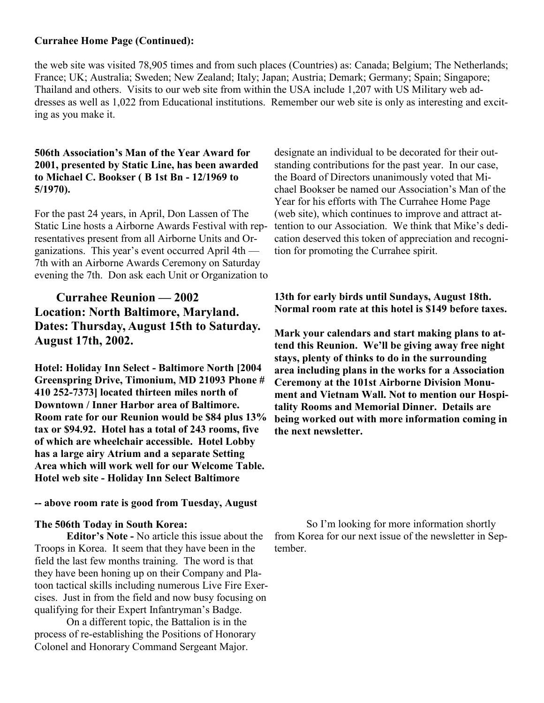### **Currahee Home Page (Continued):**

the web site was visited 78,905 times and from such places (Countries) as: Canada; Belgium; The Netherlands; France; UK; Australia; Sweden; New Zealand; Italy; Japan; Austria; Demark; Germany; Spain; Singapore; Thailand and others. Visits to our web site from within the USA include 1,207 with US Military web addresses as well as 1,022 from Educational institutions. Remember our web site is only as interesting and exciting as you make it.

#### **506th Association's Man of the Year Award for 2001, presented by Static Line, has been awarded to Michael C. Bookser ( B 1st Bn - 12/1969 to 5/1970).**

For the past 24 years, in April, Don Lassen of The Static Line hosts a Airborne Awards Festival with representatives present from all Airborne Units and Organizations. This year's event occurred April 4th — 7th with an Airborne Awards Ceremony on Saturday evening the 7th. Don ask each Unit or Organization to

# **Currahee Reunion — 2002 Location: North Baltimore, Maryland. Dates: Thursday, August 15th to Saturday. August 17th, 2002.**

**Hotel: Holiday Inn Select - Baltimore North [2004 Greenspring Drive, Timonium, MD 21093 Phone # 410 252-7373] located thirteen miles north of Downtown / Inner Harbor area of Baltimore. Room rate for our Reunion would be \$84 plus 13% tax or \$94.92. Hotel has a total of 243 rooms, five of which are wheelchair accessible. Hotel Lobby has a large airy Atrium and a separate Setting Area which will work well for our Welcome Table. Hotel web site - Holiday Inn Select Baltimore**

### **-- above room rate is good from Tuesday, August**

#### **The 506th Today in South Korea:**

**Editor's Note -** No article this issue about the Troops in Korea. It seem that they have been in the field the last few months training. The word is that they have been honing up on their Company and Platoon tactical skills including numerous Live Fire Exercises. Just in from the field and now busy focusing on qualifying for their Expert Infantryman's Badge.

On a different topic, the Battalion is in the process of re-establishing the Positions of Honorary Colonel and Honorary Command Sergeant Major.

designate an individual to be decorated for their outstanding contributions for the past year. In our case, the Board of Directors unanimously voted that Michael Bookser be named our Association's Man of the Year for his efforts with The Currahee Home Page (web site), which continues to improve and attract attention to our Association. We think that Mike's dedication deserved this token of appreciation and recognition for promoting the Currahee spirit.

**13th for early birds until Sundays, August 18th. Normal room rate at this hotel is \$149 before taxes.**

**Mark your calendars and start making plans to attend this Reunion. We'll be giving away free night stays, plenty of thinks to do in the surrounding area including plans in the works for a Association Ceremony at the 101st Airborne Division Monument and Vietnam Wall. Not to mention our Hospitality Rooms and Memorial Dinner. Details are being worked out with more information coming in the next newsletter.**

So I'm looking for more information shortly from Korea for our next issue of the newsletter in September.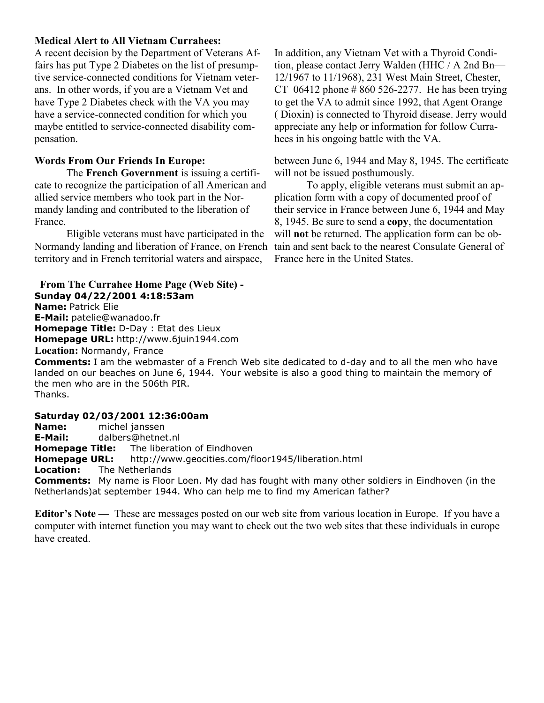#### **Medical Alert to All Vietnam Currahees:**

A recent decision by the Department of Veterans Affairs has put Type 2 Diabetes on the list of presumptive service-connected conditions for Vietnam veterans. In other words, if you are a Vietnam Vet and have Type 2 Diabetes check with the VA you may have a service-connected condition for which you maybe entitled to service-connected disability compensation.

### **Words From Our Friends In Europe:**

The **French Government** is issuing a certificate to recognize the participation of all American and allied service members who took part in the Normandy landing and contributed to the liberation of France.

Eligible veterans must have participated in the Normandy landing and liberation of France, on French territory and in French territorial waters and airspace,

#### **From The Currahee Home Page (Web Site) - Sunday 04/22/2001 4:18:53am**

**Name:** Patrick Elie

**E-Mail:** patelie@wanadoo.fr **Homepage Title:** D-Day : Etat des Lieux

**Homepage URL:** http://www.6juin1944.com

**Location:** Normandy, France

In addition, any Vietnam Vet with a Thyroid Condition, please contact Jerry Walden (HHC / A 2nd Bn— 12/1967 to 11/1968), 231 West Main Street, Chester, CT 06412 phone  $\# 860 526 - 2277$ . He has been trying to get the VA to admit since 1992, that Agent Orange ( Dioxin) is connected to Thyroid disease. Jerry would appreciate any help or information for follow Currahees in his ongoing battle with the VA.

between June 6, 1944 and May 8, 1945. The certificate will not be issued posthumously.

To apply, eligible veterans must submit an application form with a copy of documented proof of their service in France between June 6, 1944 and May 8, 1945. Be sure to send a **copy**, the documentation will **not** be returned. The application form can be obtain and sent back to the nearest Consulate General of France here in the United States.

**Comments:** I am the webmaster of a French Web site dedicated to d-day and to all the men who have landed on our beaches on June 6, 1944. Your website is also a good thing to maintain the memory of the men who are in the 506th PIR. Thanks.

### **Saturday 02/03/2001 12:36:00am**

**Name:** michel janssen **E-Mail:** dalbers@hetnet.nl **Homepage Title:** The liberation of Eindhoven **Homepage URL:** http://www.geocities.com/floor1945/liberation.html **Location:** The Netherlands **Comments:** My name is Floor Loen. My dad has fought with many other soldiers in Eindhoven (in the Netherlands)at september 1944. Who can help me to find my American father?

**Editor's Note —** These are messages posted on our web site from various location in Europe. If you have a computer with internet function you may want to check out the two web sites that these individuals in europe have created.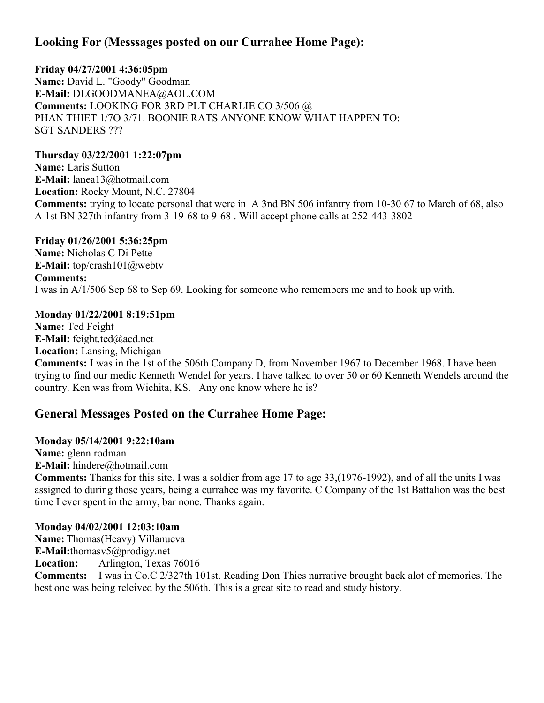# **Looking For (Messsages posted on our Currahee Home Page):**

**Friday 04/27/2001 4:36:05pm Name:** David L. "Goody" Goodman **E-Mail:** DLGOODMANEA@AOL.COM **Comments:** LOOKING FOR 3RD PLT CHARLIE CO 3/506 @ PHAN THIET 1/7O 3/71. BOONIE RATS ANYONE KNOW WHAT HAPPEN TO: SGT SANDERS ???

# **Thursday 03/22/2001 1:22:07pm**

**Name:** Laris Sutton **E-Mail:** lanea13@hotmail.com **Location:** Rocky Mount, N.C. 27804 **Comments:** trying to locate personal that were in A 3nd BN 506 infantry from 10-30 67 to March of 68, also A 1st BN 327th infantry from 3-19-68 to 9-68 . Will accept phone calls at 252-443-3802

# **Friday 01/26/2001 5:36:25pm**

**Name:** Nicholas C Di Pette **E-Mail:** top/crash101@webtv **Comments:** I was in A/1/506 Sep 68 to Sep 69. Looking for someone who remembers me and to hook up with.

# **Monday 01/22/2001 8:19:51pm**

**Name:** Ted Feight **E-Mail:** feight.ted@acd.net **Location:** Lansing, Michigan **Comments:** I was in the 1st of the 506th Company D, from November 1967 to December 1968. I have been trying to find our medic Kenneth Wendel for years. I have talked to over 50 or 60 Kenneth Wendels around the country. Ken was from Wichita, KS. Any one know where he is?

# **General Messages Posted on the Currahee Home Page:**

# **Monday 05/14/2001 9:22:10am**

**Name:** glenn rodman **E-Mail:** hindere@hotmail.com

**Comments:** Thanks for this site. I was a soldier from age 17 to age 33,(1976-1992), and of all the units I was assigned to during those years, being a currahee was my favorite. C Company of the 1st Battalion was the best time I ever spent in the army, bar none. Thanks again.

# **Monday 04/02/2001 12:03:10am**

**Name:** Thomas(Heavy) Villanueva **E-Mail:**thomasv5@prodigy.net **Location:** Arlington, Texas 76016 **Comments:** I was in Co.C 2/327th 101st. Reading Don Thies narrative brought back alot of memories. The best one was being releived by the 506th. This is a great site to read and study history.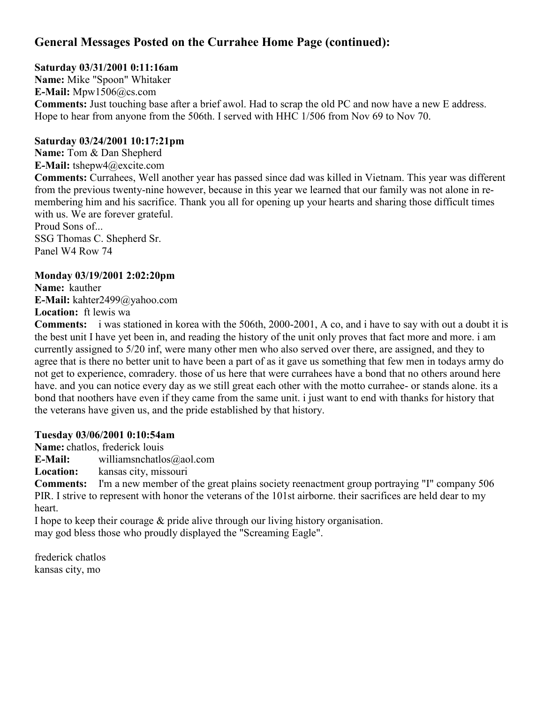# **General Messages Posted on the Currahee Home Page (continued):**

# **Saturday 03/31/2001 0:11:16am**

**Name:** Mike "Spoon" Whitaker **E-Mail:** Mpw1506@cs.com **Comments:** Just touching base after a brief awol. Had to scrap the old PC and now have a new E address. Hope to hear from anyone from the 506th. I served with HHC 1/506 from Nov 69 to Nov 70.

# **Saturday 03/24/2001 10:17:21pm**

**Name:** Tom & Dan Shepherd **E-Mail:** tshepw4@excite.com **Comments:** Currahees, Well another year has passed since dad was killed in Vietnam. This year was different from the previous twenty-nine however, because in this year we learned that our family was not alone in remembering him and his sacrifice. Thank you all for opening up your hearts and sharing those difficult times with us. We are forever grateful. Proud Sons of... SSG Thomas C. Shepherd Sr.

Panel W4 Row 74

# **Monday 03/19/2001 2:02:20pm**

**Name:** kauther **E-Mail:** kahter2499@yahoo.com **Location:** ft lewis wa

**Comments:** i was stationed in korea with the 506th, 2000-2001, A co, and i have to say with out a doubt it is the best unit I have yet been in, and reading the history of the unit only proves that fact more and more. i am currently assigned to 5/20 inf, were many other men who also served over there, are assigned, and they to agree that is there no better unit to have been a part of as it gave us something that few men in todays army do not get to experience, comradery. those of us here that were currahees have a bond that no others around here have. and you can notice every day as we still great each other with the motto currahee- or stands alone. its a bond that noothers have even if they came from the same unit. i just want to end with thanks for history that the veterans have given us, and the pride established by that history.

# **Tuesday 03/06/2001 0:10:54am**

**Name:** chatlos, frederick louis

**E-Mail:** williamsnchatlos@aol.com

**Location:** kansas city, missouri

**Comments:** I'm a new member of the great plains society reenactment group portraying "I" company 506 PIR. I strive to represent with honor the veterans of the 101st airborne. their sacrifices are held dear to my heart.

I hope to keep their courage & pride alive through our living history organisation.

may god bless those who proudly displayed the "Screaming Eagle".

frederick chatlos kansas city, mo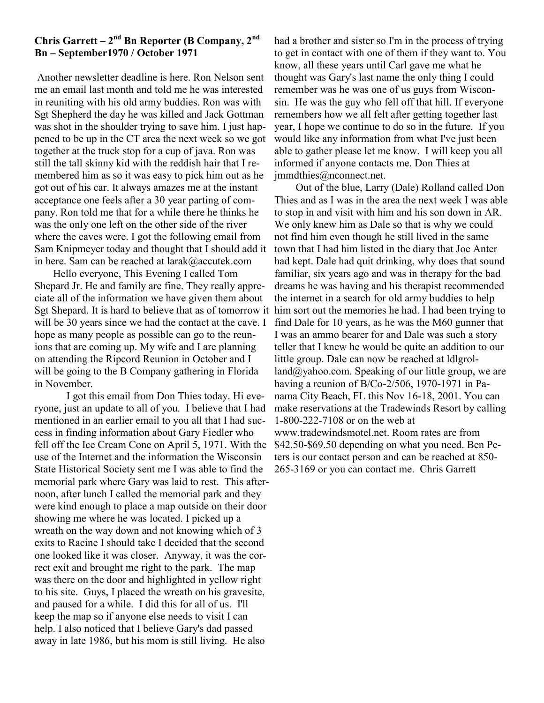# **Chris Garrett – 2 nd Bn Reporter (B Company, 2nd Bn – September1970 / October 1971**

Another newsletter deadline is here. Ron Nelson sent me an email last month and told me he was interested in reuniting with his old army buddies. Ron was with Sgt Shepherd the day he was killed and Jack Gottman was shot in the shoulder trying to save him. I just happened to be up in the CT area the next week so we got together at the truck stop for a cup of java. Ron was still the tall skinny kid with the reddish hair that I remembered him as so it was easy to pick him out as he got out of his car. It always amazes me at the instant acceptance one feels after a 30 year parting of company. Ron told me that for a while there he thinks he was the only one left on the other side of the river where the caves were. I got the following email from Sam Knipmeyer today and thought that I should add it in here. Sam can be reached at larak@accutek.com

 Hello everyone, This Evening I called Tom Shepard Jr. He and family are fine. They really appreciate all of the information we have given them about Sgt Shepard. It is hard to believe that as of tomorrow it will be 30 years since we had the contact at the cave. I hope as many people as possible can go to the reunions that are coming up. My wife and I are planning on attending the Ripcord Reunion in October and I will be going to the B Company gathering in Florida in November.

I got this email from Don Thies today. Hi everyone, just an update to all of you. I believe that I had mentioned in an earlier email to you all that I had success in finding information about Gary Fiedler who fell off the Ice Cream Cone on April 5, 1971. With the use of the Internet and the information the Wisconsin State Historical Society sent me I was able to find the memorial park where Gary was laid to rest. This afternoon, after lunch I called the memorial park and they were kind enough to place a map outside on their door showing me where he was located. I picked up a wreath on the way down and not knowing which of 3 exits to Racine I should take I decided that the second one looked like it was closer. Anyway, it was the correct exit and brought me right to the park. The map was there on the door and highlighted in yellow right to his site. Guys, I placed the wreath on his gravesite, and paused for a while. I did this for all of us. I'll keep the map so if anyone else needs to visit I can help. I also noticed that I believe Gary's dad passed away in late 1986, but his mom is still living. He also

had a brother and sister so I'm in the process of trying to get in contact with one of them if they want to. You know, all these years until Carl gave me what he thought was Gary's last name the only thing I could remember was he was one of us guys from Wisconsin. He was the guy who fell off that hill. If everyone remembers how we all felt after getting together last year, I hope we continue to do so in the future. If you would like any information from what I've just been able to gather please let me know. I will keep you all informed if anyone contacts me. Don Thies at jmmdthies@nconnect.net.

 Out of the blue, Larry (Dale) Rolland called Don Thies and as I was in the area the next week I was able to stop in and visit with him and his son down in AR. We only knew him as Dale so that is why we could not find him even though he still lived in the same town that I had him listed in the diary that Joe Anter had kept. Dale had quit drinking, why does that sound familiar, six years ago and was in therapy for the bad dreams he was having and his therapist recommended the internet in a search for old army buddies to help him sort out the memories he had. I had been trying to find Dale for 10 years, as he was the M60 gunner that I was an ammo bearer for and Dale was such a story teller that I knew he would be quite an addition to our little group. Dale can now be reached at ldlgrolland@yahoo.com. Speaking of our little group, we are having a reunion of B/Co-2/506, 1970-1971 in Panama City Beach, FL this Nov 16-18, 2001. You can make reservations at the Tradewinds Resort by calling 1-800-222-7108 or on the web at www.tradewindsmotel.net. Room rates are from \$42.50-\$69.50 depending on what you need. Ben Peters is our contact person and can be reached at 850- 265-3169 or you can contact me. Chris Garrett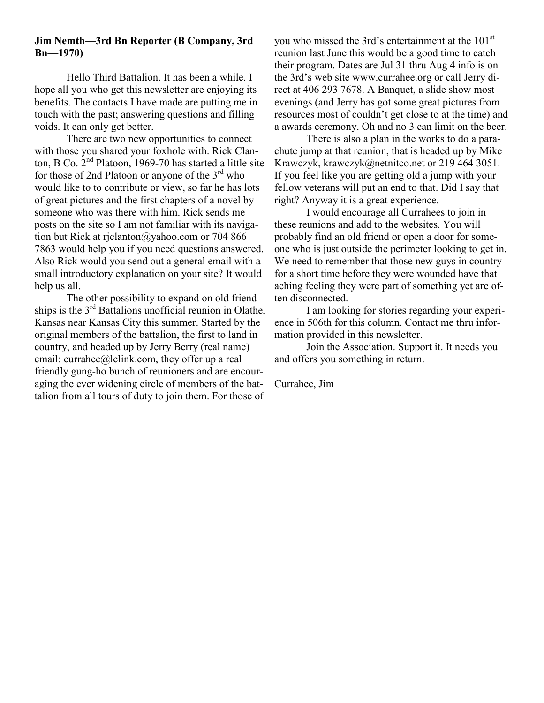### **Jim Nemth—3rd Bn Reporter (B Company, 3rd Bn—1970)**

Hello Third Battalion. It has been a while. I hope all you who get this newsletter are enjoying its benefits. The contacts I have made are putting me in touch with the past; answering questions and filling voids. It can only get better.

There are two new opportunities to connect with those you shared your foxhole with. Rick Clanton, B Co.  $2<sup>nd</sup>$  Platoon, 1969-70 has started a little site for those of 2nd Platoon or anyone of the  $3<sup>rd</sup>$  who would like to to contribute or view, so far he has lots of great pictures and the first chapters of a novel by someone who was there with him. Rick sends me posts on the site so I am not familiar with its navigation but Rick at rjclanton@yahoo.com or 704 866 7863 would help you if you need questions answered. Also Rick would you send out a general email with a small introductory explanation on your site? It would help us all.

The other possibility to expand on old friendships is the  $3<sup>rd</sup>$  Battalions unofficial reunion in Olathe, Kansas near Kansas City this summer. Started by the original members of the battalion, the first to land in country, and headed up by Jerry Berry (real name) email: currahee@lclink.com, they offer up a real friendly gung-ho bunch of reunioners and are encouraging the ever widening circle of members of the battalion from all tours of duty to join them. For those of

you who missed the 3rd's entertainment at the 101<sup>st</sup> reunion last June this would be a good time to catch their program. Dates are Jul 31 thru Aug 4 info is on the 3rd's web site www.currahee.org or call Jerry direct at 406 293 7678. A Banquet, a slide show most evenings (and Jerry has got some great pictures from resources most of couldn't get close to at the time) and a awards ceremony. Oh and no 3 can limit on the beer.

There is also a plan in the works to do a parachute jump at that reunion, that is headed up by Mike Krawczyk, krawczyk@netnitco.net or 219 464 3051. If you feel like you are getting old a jump with your fellow veterans will put an end to that. Did I say that right? Anyway it is a great experience.

I would encourage all Currahees to join in these reunions and add to the websites. You will probably find an old friend or open a door for someone who is just outside the perimeter looking to get in. We need to remember that those new guys in country for a short time before they were wounded have that aching feeling they were part of something yet are often disconnected.

I am looking for stories regarding your experience in 506th for this column. Contact me thru information provided in this newsletter.

Join the Association. Support it. It needs you and offers you something in return.

Currahee, Jim